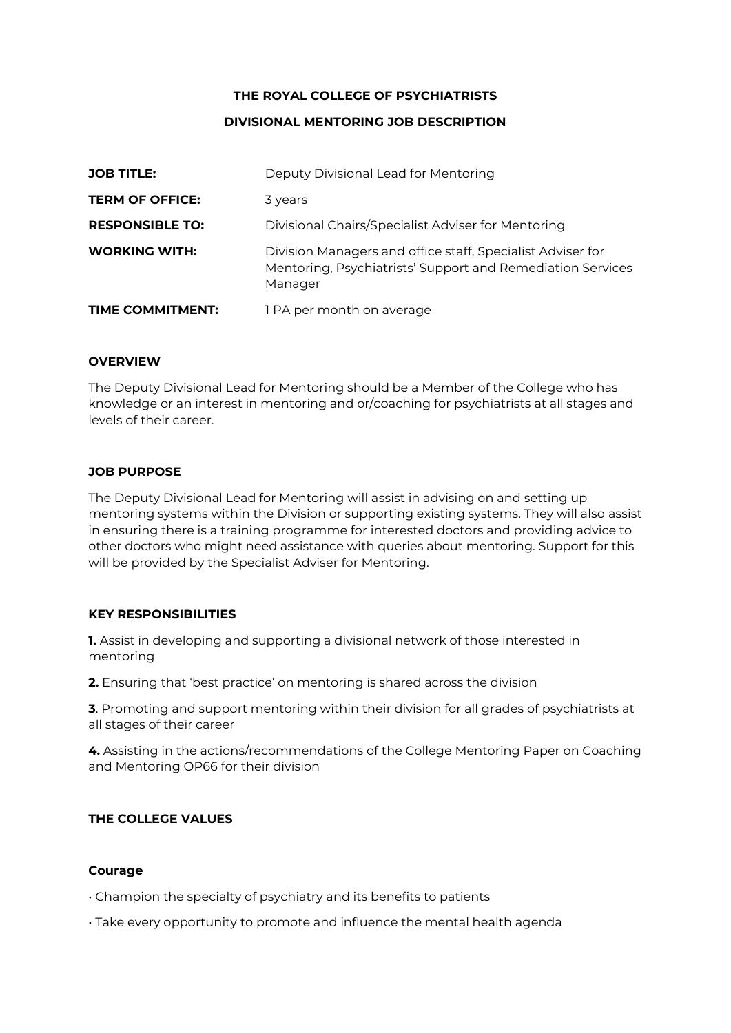## **THE ROYAL COLLEGE OF PSYCHIATRISTS**

# **DIVISIONAL MENTORING JOB DESCRIPTION**

| <b>JOB TITLE:</b>       | Deputy Divisional Lead for Mentoring                                                                                                |
|-------------------------|-------------------------------------------------------------------------------------------------------------------------------------|
| <b>TERM OF OFFICE:</b>  | 3 years                                                                                                                             |
| <b>RESPONSIBLE TO:</b>  | Divisional Chairs/Specialist Adviser for Mentoring                                                                                  |
| <b>WORKING WITH:</b>    | Division Managers and office staff, Specialist Adviser for<br>Mentoring, Psychiatrists' Support and Remediation Services<br>Manager |
| <b>TIME COMMITMENT:</b> | 1 PA per month on average                                                                                                           |

### **OVERVIEW**

The Deputy Divisional Lead for Mentoring should be a Member of the College who has knowledge or an interest in mentoring and or/coaching for psychiatrists at all stages and levels of their career.

### **JOB PURPOSE**

The Deputy Divisional Lead for Mentoring will assist in advising on and setting up mentoring systems within the Division or supporting existing systems. They will also assist in ensuring there is a training programme for interested doctors and providing advice to other doctors who might need assistance with queries about mentoring. Support for this will be provided by the Specialist Adviser for Mentoring.

## **KEY RESPONSIBILITIES**

**1.** Assist in developing and supporting a divisional network of those interested in mentoring

**2.** Ensuring that 'best practice' on mentoring is shared across the division

**3**. Promoting and support mentoring within their division for all grades of psychiatrists at all stages of their career

**4.** Assisting in the actions/recommendations of the College Mentoring Paper on Coaching and Mentoring OP66 for their division

# **THE COLLEGE VALUES**

## **Courage**

- Champion the specialty of psychiatry and its benefits to patients
- Take every opportunity to promote and influence the mental health agenda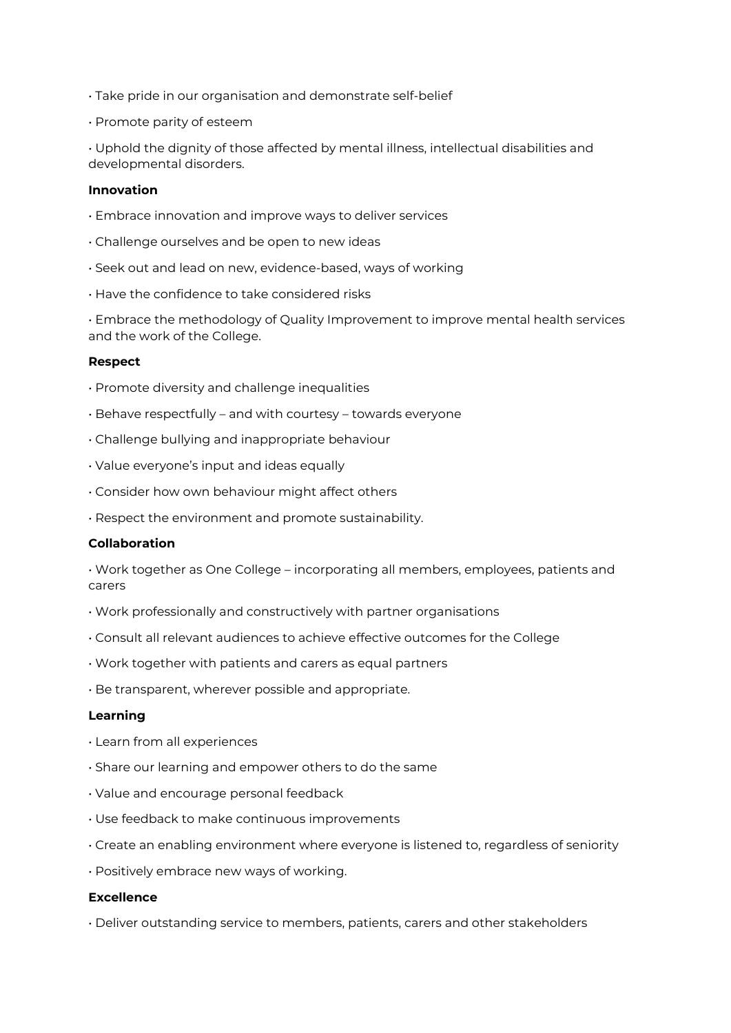- Take pride in our organisation and demonstrate self‐belief
- Promote parity of esteem

• Uphold the dignity of those affected by mental illness, intellectual disabilities and developmental disorders.

### **Innovation**

- Embrace innovation and improve ways to deliver services
- Challenge ourselves and be open to new ideas
- Seek out and lead on new, evidence‐based, ways of working
- Have the confidence to take considered risks

• Embrace the methodology of Quality Improvement to improve mental health services and the work of the College.

#### **Respect**

- Promote diversity and challenge inequalities
- Behave respectfully and with courtesy towards everyone
- Challenge bullying and inappropriate behaviour
- Value everyone's input and ideas equally
- Consider how own behaviour might affect others
- Respect the environment and promote sustainability.

#### **Collaboration**

• Work together as One College – incorporating all members, employees, patients and carers

- Work professionally and constructively with partner organisations
- Consult all relevant audiences to achieve effective outcomes for the College
- Work together with patients and carers as equal partners
- Be transparent, wherever possible and appropriate.

#### **Learning**

- Learn from all experiences
- Share our learning and empower others to do the same
- Value and encourage personal feedback
- Use feedback to make continuous improvements
- Create an enabling environment where everyone is listened to, regardless of seniority
- Positively embrace new ways of working.

#### **Excellence**

• Deliver outstanding service to members, patients, carers and other stakeholders